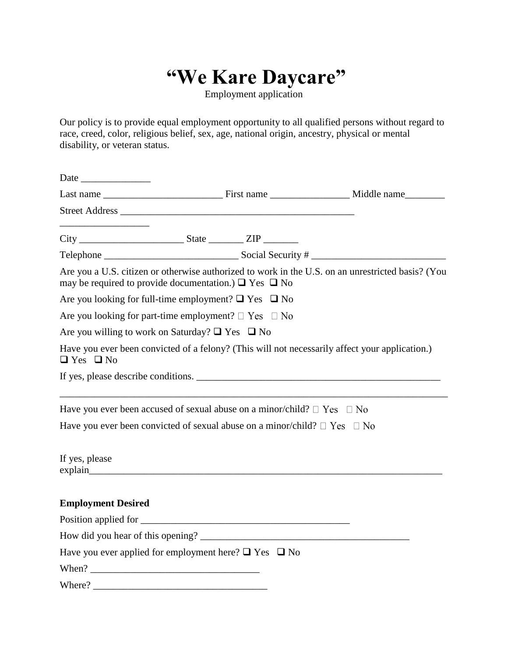## **"We Kare Daycare"**

Employment application

Our policy is to provide equal employment opportunity to all qualified persons without regard to race, creed, color, religious belief, sex, age, national origin, ancestry, physical or mental disability, or veteran status.

| may be required to provide documentation.) $\Box$ Yes $\Box$ No                     |  | Are you a U.S. citizen or otherwise authorized to work in the U.S. on an unrestricted basis? (You |
|-------------------------------------------------------------------------------------|--|---------------------------------------------------------------------------------------------------|
| Are you looking for full-time employment? $\Box$ Yes $\Box$ No                      |  |                                                                                                   |
| Are you looking for part-time employment? $\Box$ Yes $\Box$ No                      |  |                                                                                                   |
| Are you willing to work on Saturday? $\Box$ Yes $\Box$ No                           |  |                                                                                                   |
| $\Box$ Yes $\Box$ No                                                                |  | Have you ever been convicted of a felony? (This will not necessarily affect your application.)    |
|                                                                                     |  | If yes, please describe conditions.                                                               |
| Have you ever been accused of sexual abuse on a minor/child? $\Box$ Yes $\Box$ No   |  |                                                                                                   |
| Have you ever been convicted of sexual abuse on a minor/child? $\Box$ Yes $\Box$ No |  |                                                                                                   |
| If yes, please                                                                      |  |                                                                                                   |
| <b>Employment Desired</b>                                                           |  |                                                                                                   |
|                                                                                     |  |                                                                                                   |
|                                                                                     |  |                                                                                                   |
| Have you ever applied for employment here? $\Box$ Yes $\Box$ No                     |  |                                                                                                   |
|                                                                                     |  |                                                                                                   |
|                                                                                     |  |                                                                                                   |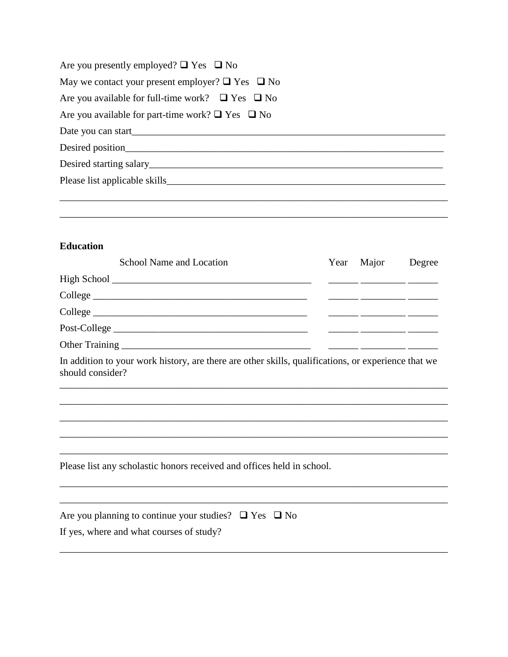| Are you presently employed? $\Box$ Yes $\Box$ No           |
|------------------------------------------------------------|
| May we contact your present employer? $\Box$ Yes $\Box$ No |
| Are you available for full-time work? $\Box$ Yes $\Box$ No |
| Are you available for part-time work? $\Box$ Yes $\Box$ No |
|                                                            |
|                                                            |
|                                                            |
| Please list applicable skills                              |
|                                                            |
|                                                            |

<u> 1989 - Johann Stoff, deutscher Stoffen und der Stoffen und der Stoffen und der Stoffen und der Stoffen und der</u>

## **Education**

| School Name and Location                                                                                                | Year | Major | Degree |
|-------------------------------------------------------------------------------------------------------------------------|------|-------|--------|
|                                                                                                                         |      |       |        |
|                                                                                                                         |      |       |        |
|                                                                                                                         |      |       |        |
| Post-College                                                                                                            |      |       |        |
|                                                                                                                         |      |       |        |
| In addition to your work history, are there are other skills, qualifications, or experience that we<br>should consider? |      |       |        |
|                                                                                                                         |      |       |        |
|                                                                                                                         |      |       |        |
|                                                                                                                         |      |       |        |
|                                                                                                                         |      |       |        |
| Please list any scholastic honors received and offices held in school.                                                  |      |       |        |
|                                                                                                                         |      |       |        |
| Are you planning to continue your studies? $\Box$ Yes $\Box$ No                                                         |      |       |        |
| If yes, where and what courses of study?                                                                                |      |       |        |
|                                                                                                                         |      |       |        |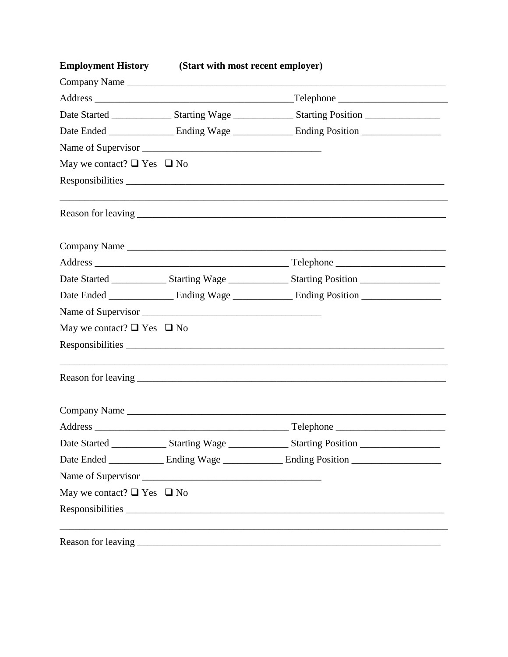| <b>Employment History</b> (Start with most recent employer) |                                                                                                                |
|-------------------------------------------------------------|----------------------------------------------------------------------------------------------------------------|
| Company Name                                                |                                                                                                                |
|                                                             |                                                                                                                |
|                                                             | Date Started ___________________Starting Wage __________________Starting Position ____________________________ |
|                                                             |                                                                                                                |
|                                                             |                                                                                                                |
| May we contact? $\Box$ Yes $\Box$ No                        |                                                                                                                |
|                                                             |                                                                                                                |
|                                                             |                                                                                                                |
|                                                             | Company Name                                                                                                   |
|                                                             |                                                                                                                |
|                                                             | Date Started __________________Starting Wage __________________Starting Position _____________________________ |
|                                                             |                                                                                                                |
|                                                             |                                                                                                                |
| May we contact? $\Box$ Yes $\Box$ No                        |                                                                                                                |
|                                                             |                                                                                                                |
|                                                             |                                                                                                                |
|                                                             |                                                                                                                |
| Address                                                     | Telephone                                                                                                      |
|                                                             | Date Started __________________Starting Wage __________________Starting Position _____________________________ |
|                                                             | Date Ended _______________ Ending Wage ________________ Ending Position ____________________________           |
|                                                             |                                                                                                                |
| May we contact? $\Box$ Yes $\Box$ No                        |                                                                                                                |
|                                                             |                                                                                                                |
|                                                             |                                                                                                                |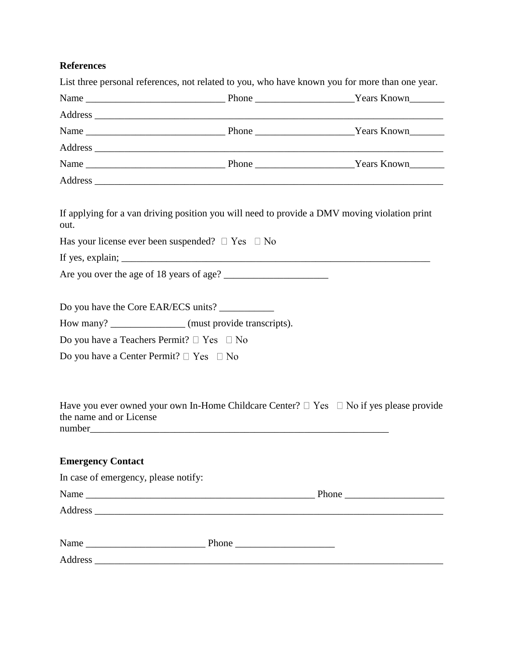## **References**

|                                                     | List three personal references, not related to you, who have known you for more than one year.                                                                                                                                                                                                                                      |  |
|-----------------------------------------------------|-------------------------------------------------------------------------------------------------------------------------------------------------------------------------------------------------------------------------------------------------------------------------------------------------------------------------------------|--|
|                                                     |                                                                                                                                                                                                                                                                                                                                     |  |
|                                                     |                                                                                                                                                                                                                                                                                                                                     |  |
|                                                     |                                                                                                                                                                                                                                                                                                                                     |  |
|                                                     |                                                                                                                                                                                                                                                                                                                                     |  |
|                                                     |                                                                                                                                                                                                                                                                                                                                     |  |
|                                                     |                                                                                                                                                                                                                                                                                                                                     |  |
| out.                                                | If applying for a van driving position you will need to provide a DMV moving violation print                                                                                                                                                                                                                                        |  |
|                                                     | Has your license ever been suspended? $\Box$ Yes $\Box$ No                                                                                                                                                                                                                                                                          |  |
|                                                     | If yes, explain; $\frac{1}{2}$ = $\frac{1}{2}$ = $\frac{1}{2}$ = $\frac{1}{2}$ = $\frac{1}{2}$ = $\frac{1}{2}$ = $\frac{1}{2}$ = $\frac{1}{2}$ = $\frac{1}{2}$ = $\frac{1}{2}$ = $\frac{1}{2}$ = $\frac{1}{2}$ = $\frac{1}{2}$ = $\frac{1}{2}$ = $\frac{1}{2}$ = $\frac{1}{2}$ = $\frac{1}{2}$ =                                    |  |
|                                                     |                                                                                                                                                                                                                                                                                                                                     |  |
|                                                     |                                                                                                                                                                                                                                                                                                                                     |  |
|                                                     | Do you have the Core EAR/ECS units?                                                                                                                                                                                                                                                                                                 |  |
|                                                     | How many? _______________ (must provide transcripts).                                                                                                                                                                                                                                                                               |  |
| Do you have a Teachers Permit? $\Box$ Yes $\Box$ No |                                                                                                                                                                                                                                                                                                                                     |  |
| Do you have a Center Permit? $\Box$ Yes $\Box$ No   |                                                                                                                                                                                                                                                                                                                                     |  |
|                                                     |                                                                                                                                                                                                                                                                                                                                     |  |
| the name and or License                             | Have you ever owned your own In-Home Childcare Center? $\Box$ Yes $\Box$ No if yes please provide<br>number and the contract of the contract of the contract of the contract of the contract of the contract of the contract of the contract of the contract of the contract of the contract of the contract of the contract of the |  |
| <b>Emergency Contact</b>                            |                                                                                                                                                                                                                                                                                                                                     |  |
| In case of emergency, please notify:                |                                                                                                                                                                                                                                                                                                                                     |  |
|                                                     |                                                                                                                                                                                                                                                                                                                                     |  |
|                                                     |                                                                                                                                                                                                                                                                                                                                     |  |
|                                                     |                                                                                                                                                                                                                                                                                                                                     |  |
|                                                     |                                                                                                                                                                                                                                                                                                                                     |  |